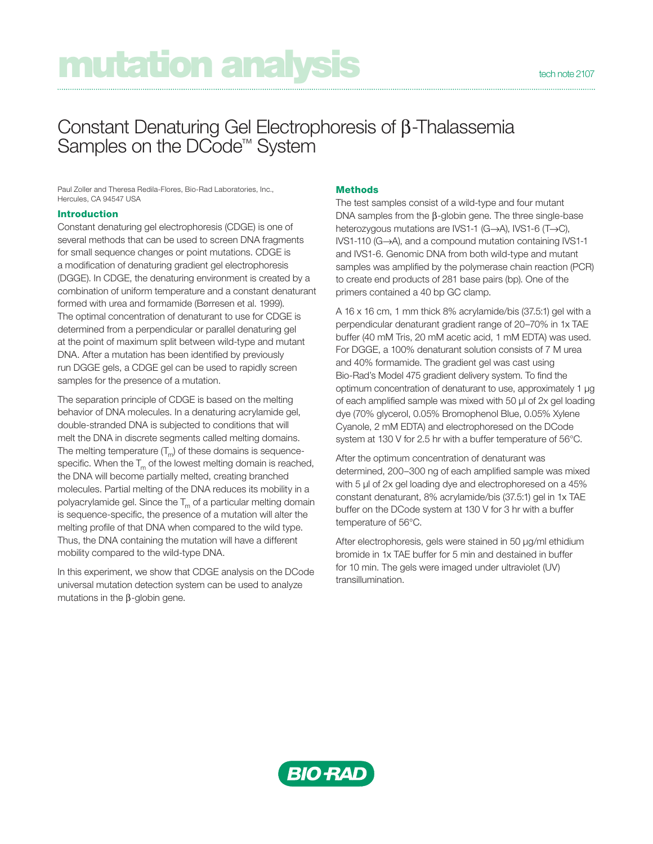# mutation analysis

## Constant Denaturing Gel Electrophoresis of β-Thalassemia Samples on the DCode™ System

Paul Zoller and Theresa Redila-Flores, Bio-Rad Laboratories, Inc., Hercules, CA 94547 USA

### **Introduction**

Constant denaturing gel electrophoresis (CDGE) is one of several methods that can be used to screen DNA fragments for small sequence changes or point mutations. CDGE is a modification of denaturing gradient gel electrophoresis (DGGE). In CDGE, the denaturing environment is created by a combination of uniform temperature and a constant denaturant formed with urea and formamide (Børresen et al. 1999). The optimal concentration of denaturant to use for CDGE is determined from a perpendicular or parallel denaturing gel at the point of maximum split between wild-type and mutant DNA. After a mutation has been identified by previously run DGGE gels, a CDGE gel can be used to rapidly screen samples for the presence of a mutation.

The separation principle of CDGE is based on the melting behavior of DNA molecules. In a denaturing acrylamide gel, double-stranded DNA is subjected to conditions that will melt the DNA in discrete segments called melting domains. The melting temperature  $(T_m)$  of these domains is sequencespecific. When the  $T_m$  of the lowest melting domain is reached, the DNA will become partially melted, creating branched molecules. Partial melting of the DNA reduces its mobility in a polyacrylamide gel. Since the  $T_m$  of a particular melting domain is sequence-specific, the presence of a mutation will alter the melting profile of that DNA when compared to the wild type. Thus, the DNA containing the mutation will have a different mobility compared to the wild-type DNA.

In this experiment, we show that CDGE analysis on the DCode universal mutation detection system can be used to analyze mutations in the  $\beta$ -globin gene.

### **Methods**

The test samples consist of a wild-type and four mutant DNA samples from the  $\beta$ -globin gene. The three single-base heterozygous mutations are IVS1-1 (G→A), IVS1-6 (T→C),  $IVS1-110$  (G $\rightarrow$ A), and a compound mutation containing IVS1-1 and IVS1-6. Genomic DNA from both wild-type and mutant samples was amplified by the polymerase chain reaction (PCR) to create end products of 281 base pairs (bp). One of the primers contained a 40 bp GC clamp.

A 16 x 16 cm, 1 mm thick 8% acrylamide/bis (37.5:1) gel with a perpendicular denaturant gradient range of 20–70% in 1x TAE buffer (40 mM Tris, 20 mM acetic acid, 1 mM EDTA) was used. For DGGE, a 100% denaturant solution consists of 7 M urea and 40% formamide. The gradient gel was cast using Bio-Rad's Model 475 gradient delivery system. To find the optimum concentration of denaturant to use, approximately 1 μg of each amplified sample was mixed with 50 μl of 2x gel loading dye (70% glycerol, 0.05% Bromophenol Blue, 0.05% Xylene Cyanole, 2 mM EDTA) and electrophoresed on the DCode system at 130 V for 2.5 hr with a buffer temperature of 56°C.

After the optimum concentration of denaturant was determined, 200–300 ng of each amplified sample was mixed with 5 μl of 2x gel loading dye and electrophoresed on a 45% constant denaturant, 8% acrylamide/bis (37.5:1) gel in 1x TAE buffer on the DCode system at 130 V for 3 hr with a buffer temperature of 56°C.

After electrophoresis, gels were stained in 50 μg/ml ethidium bromide in 1x TAE buffer for 5 min and destained in buffer for 10 min. The gels were imaged under ultraviolet (UV) transillumination.